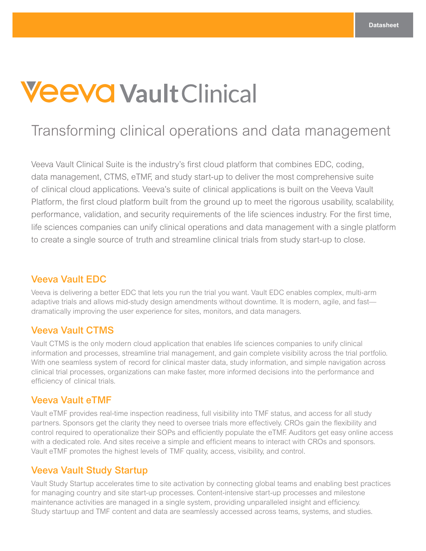# **Veeva Vault Clinical**

# Transforming clinical operations and data management

Veeva Vault Clinical Suite is the industry's first cloud platform that combines EDC, coding, data management, CTMS, eTMF, and study start-up to deliver the most comprehensive suite of clinical cloud applications. Veeva's suite of clinical applications is built on the Veeva Vault Platform, the first cloud platform built from the ground up to meet the rigorous usability, scalability, performance, validation, and security requirements of the life sciences industry. For the first time, life sciences companies can unify clinical operations and data management with a single platform to create a single source of truth and streamline clinical trials from study start-up to close.

## [Veeva Vault E](https://www.veeva.com/products/vault-edc/)DC

Veeva is delivering a better EDC that lets you run the trial you want. Vault EDC enables complex, multi-arm adaptive trials and allows mid-study design amendments without downtime. It is modern, agile, and fast dramatically improving the user experience for sites, monitors, and data managers.

## [Veeva Vault CTMS](https://www.veeva.com/products/vault-ctms/)

Vault CTMS is the only modern cloud application that enables life sciences companies to unify clinical information and processes, streamline trial management, and gain complete visibility across the trial portfolio. With one seamless system of record for clinical master data, study information, and simple navigation across clinical trial processes, organizations can make faster, more informed decisions into the performance and efficiency of clinical trials.

# [Veeva Vault eTMF](https://www.veeva.com/products/vault-etmf/)

Vault eTMF provides real-time inspection readiness, full visibility into TMF status, and access for all study partners. Sponsors get the clarity they need to oversee trials more effectively. CROs gain the flexibility and control required to operationalize their SOPs and efficiently populate the eTMF. Auditors get easy online access with a dedicated role. And sites receive a simple and efficient means to interact with CROs and sponsors. Vault eTMF promotes the highest levels of TMF quality, access, visibility, and control.

### [Veeva Vault Study Startup](https://www.veeva.com/products/vault-study-startup/)

Vault Study Startup accelerates time to site activation by connecting global teams and enabling best practices for managing country and site start-up processes. Content-intensive start-up processes and milestone maintenance activities are managed in a single system, providing unparalleled insight and efficiency. Study startuup and TMF content and data are seamlessly accessed across teams, systems, and studies.